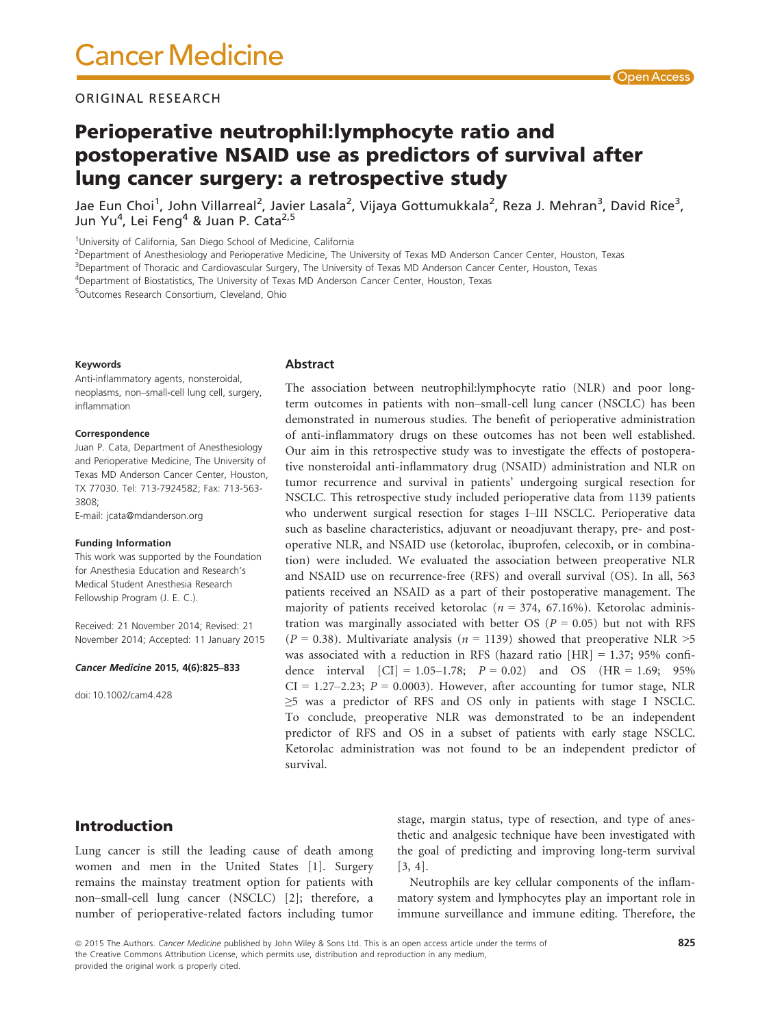### ORIGINAL RESEARCH

# Perioperative neutrophil:lymphocyte ratio and postoperative NSAID use as predictors of survival after lung cancer surgery: a retrospective study

Jae Eun Choi<sup>1</sup>, John Villarreal<sup>2</sup>, Javier Lasala<sup>2</sup>, Vijaya Gottumukkala<sup>2</sup>, Reza J. Mehran<sup>3</sup>, David Rice<sup>3</sup>, Jun Yu<sup>4</sup>, Lei Feng<sup>4</sup> & Juan P. Cata<sup>2,5</sup>

<sup>1</sup>University of California, San Diego School of Medicine, California

2 Department of Anesthesiology and Perioperative Medicine, The University of Texas MD Anderson Cancer Center, Houston, Texas

3 Department of Thoracic and Cardiovascular Surgery, The University of Texas MD Anderson Cancer Center, Houston, Texas

4 Department of Biostatistics, The University of Texas MD Anderson Cancer Center, Houston, Texas

5 Outcomes Research Consortium, Cleveland, Ohio

#### Keywords

Anti-inflammatory agents, nonsteroidal, neoplasms, non–small-cell lung cell, surgery, inflammation

#### Correspondence

Juan P. Cata, Department of Anesthesiology and Perioperative Medicine, The University of Texas MD Anderson Cancer Center, Houston, TX 77030. Tel: 713-7924582; Fax: 713-563- 3808;

E-mail: jcata@mdanderson.org

#### Funding Information

This work was supported by the Foundation for Anesthesia Education and Research's Medical Student Anesthesia Research Fellowship Program (J. E. C.).

Received: 21 November 2014; Revised: 21 November 2014; Accepted: 11 January 2015

#### Cancer Medicine 2015, 4(6):825–833

doi: 10.1002/cam4.428

#### Abstract

The association between neutrophil:lymphocyte ratio (NLR) and poor longterm outcomes in patients with non–small-cell lung cancer (NSCLC) has been demonstrated in numerous studies. The benefit of perioperative administration of anti-inflammatory drugs on these outcomes has not been well established. Our aim in this retrospective study was to investigate the effects of postoperative nonsteroidal anti-inflammatory drug (NSAID) administration and NLR on tumor recurrence and survival in patients' undergoing surgical resection for NSCLC. This retrospective study included perioperative data from 1139 patients who underwent surgical resection for stages I–III NSCLC. Perioperative data such as baseline characteristics, adjuvant or neoadjuvant therapy, pre- and postoperative NLR, and NSAID use (ketorolac, ibuprofen, celecoxib, or in combination) were included. We evaluated the association between preoperative NLR and NSAID use on recurrence-free (RFS) and overall survival (OS). In all, 563 patients received an NSAID as a part of their postoperative management. The majority of patients received ketorolac ( $n = 374$ , 67.16%). Ketorolac administration was marginally associated with better OS ( $P = 0.05$ ) but not with RFS  $(P = 0.38)$ . Multivariate analysis  $(n = 1139)$  showed that preoperative NLR  $>5$ was associated with a reduction in RFS (hazard ratio [HR] = 1.37; 95% confidence interval  $|CI| = 1.05 - 1.78$ ;  $P = 0.02$  and OS  $(HR = 1.69; 95\%$  $CI = 1.27 - 2.23$ ;  $P = 0.0003$ ). However, after accounting for tumor stage, NLR ≥5 was a predictor of RFS and OS only in patients with stage I NSCLC. To conclude, preoperative NLR was demonstrated to be an independent predictor of RFS and OS in a subset of patients with early stage NSCLC. Ketorolac administration was not found to be an independent predictor of survival.

## Introduction

Lung cancer is still the leading cause of death among women and men in the United States [1]. Surgery remains the mainstay treatment option for patients with non–small-cell lung cancer (NSCLC) [2]; therefore, a number of perioperative-related factors including tumor stage, margin status, type of resection, and type of anesthetic and analgesic technique have been investigated with the goal of predicting and improving long-term survival [3, 4].

Neutrophils are key cellular components of the inflammatory system and lymphocytes play an important role in immune surveillance and immune editing. Therefore, the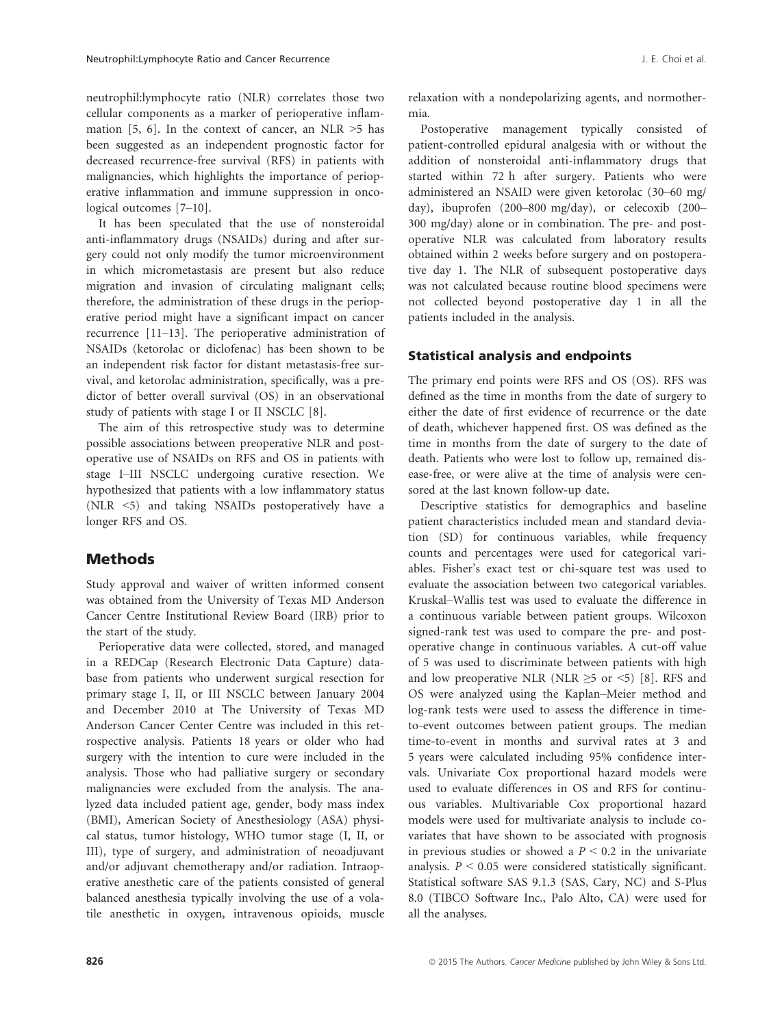neutrophil:lymphocyte ratio (NLR) correlates those two cellular components as a marker of perioperative inflammation [5, 6]. In the context of cancer, an NLR  $>5$  has been suggested as an independent prognostic factor for decreased recurrence-free survival (RFS) in patients with malignancies, which highlights the importance of perioperative inflammation and immune suppression in oncological outcomes [7–10].

It has been speculated that the use of nonsteroidal anti-inflammatory drugs (NSAIDs) during and after surgery could not only modify the tumor microenvironment in which micrometastasis are present but also reduce migration and invasion of circulating malignant cells; therefore, the administration of these drugs in the perioperative period might have a significant impact on cancer recurrence [11–13]. The perioperative administration of NSAIDs (ketorolac or diclofenac) has been shown to be an independent risk factor for distant metastasis-free survival, and ketorolac administration, specifically, was a predictor of better overall survival (OS) in an observational study of patients with stage I or II NSCLC [8].

The aim of this retrospective study was to determine possible associations between preoperative NLR and postoperative use of NSAIDs on RFS and OS in patients with stage I–III NSCLC undergoing curative resection. We hypothesized that patients with a low inflammatory status (NLR <5) and taking NSAIDs postoperatively have a longer RFS and OS.

# **Methods**

Study approval and waiver of written informed consent was obtained from the University of Texas MD Anderson Cancer Centre Institutional Review Board (IRB) prior to the start of the study.

Perioperative data were collected, stored, and managed in a REDCap (Research Electronic Data Capture) database from patients who underwent surgical resection for primary stage I, II, or III NSCLC between January 2004 and December 2010 at The University of Texas MD Anderson Cancer Center Centre was included in this retrospective analysis. Patients 18 years or older who had surgery with the intention to cure were included in the analysis. Those who had palliative surgery or secondary malignancies were excluded from the analysis. The analyzed data included patient age, gender, body mass index (BMI), American Society of Anesthesiology (ASA) physical status, tumor histology, WHO tumor stage (I, II, or III), type of surgery, and administration of neoadjuvant and/or adjuvant chemotherapy and/or radiation. Intraoperative anesthetic care of the patients consisted of general balanced anesthesia typically involving the use of a volatile anesthetic in oxygen, intravenous opioids, muscle relaxation with a nondepolarizing agents, and normothermia.

Postoperative management typically consisted of patient-controlled epidural analgesia with or without the addition of nonsteroidal anti-inflammatory drugs that started within 72 h after surgery. Patients who were administered an NSAID were given ketorolac (30–60 mg/ day), ibuprofen (200–800 mg/day), or celecoxib (200– 300 mg/day) alone or in combination. The pre- and postoperative NLR was calculated from laboratory results obtained within 2 weeks before surgery and on postoperative day 1. The NLR of subsequent postoperative days was not calculated because routine blood specimens were not collected beyond postoperative day 1 in all the patients included in the analysis.

### Statistical analysis and endpoints

The primary end points were RFS and OS (OS). RFS was defined as the time in months from the date of surgery to either the date of first evidence of recurrence or the date of death, whichever happened first. OS was defined as the time in months from the date of surgery to the date of death. Patients who were lost to follow up, remained disease-free, or were alive at the time of analysis were censored at the last known follow-up date.

Descriptive statistics for demographics and baseline patient characteristics included mean and standard deviation (SD) for continuous variables, while frequency counts and percentages were used for categorical variables. Fisher's exact test or chi-square test was used to evaluate the association between two categorical variables. Kruskal–Wallis test was used to evaluate the difference in a continuous variable between patient groups. Wilcoxon signed-rank test was used to compare the pre- and postoperative change in continuous variables. A cut-off value of 5 was used to discriminate between patients with high and low preoperative NLR (NLR  $\geq$ 5 or <5) [8]. RFS and OS were analyzed using the Kaplan–Meier method and log-rank tests were used to assess the difference in timeto-event outcomes between patient groups. The median time-to-event in months and survival rates at 3 and 5 years were calculated including 95% confidence intervals. Univariate Cox proportional hazard models were used to evaluate differences in OS and RFS for continuous variables. Multivariable Cox proportional hazard models were used for multivariate analysis to include covariates that have shown to be associated with prognosis in previous studies or showed a  $P \leq 0.2$  in the univariate analysis.  $P \leq 0.05$  were considered statistically significant. Statistical software SAS 9.1.3 (SAS, Cary, NC) and S-Plus 8.0 (TIBCO Software Inc., Palo Alto, CA) were used for all the analyses.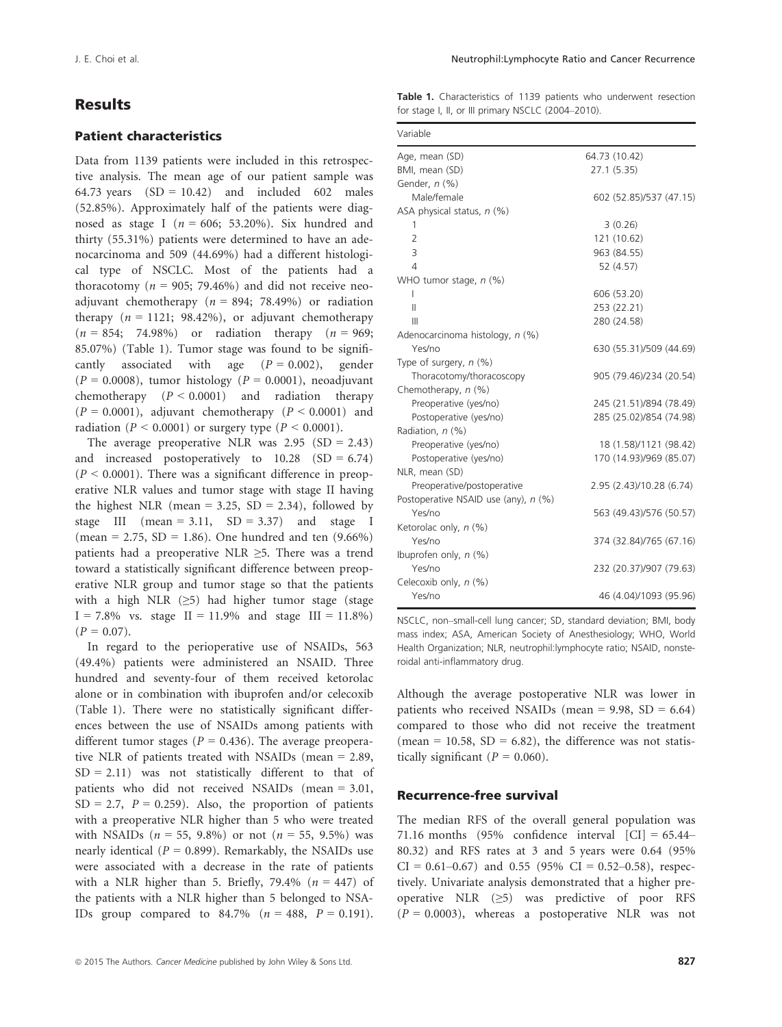### Results

#### Patient characteristics

Data from 1139 patients were included in this retrospective analysis. The mean age of our patient sample was 64.73 years  $(SD = 10.42)$  and included 602 males (52.85%). Approximately half of the patients were diagnosed as stage I ( $n = 606$ ; 53.20%). Six hundred and thirty (55.31%) patients were determined to have an adenocarcinoma and 509 (44.69%) had a different histological type of NSCLC. Most of the patients had a thoracotomy ( $n = 905$ ; 79.46%) and did not receive neoadjuvant chemotherapy ( $n = 894$ ; 78.49%) or radiation therapy  $(n = 1121; 98.42\%)$ , or adjuvant chemotherapy  $(n = 854; 74.98\%)$  or radiation therapy  $(n = 969;$ 85.07%) (Table 1). Tumor stage was found to be significantly associated with age  $(P = 0.002)$ , gender  $(P = 0.0008)$ , tumor histology  $(P = 0.0001)$ , neoadjuvant chemotherapy  $(P < 0.0001)$  and radiation therapy  $(P = 0.0001)$ , adjuvant chemotherapy  $(P < 0.0001)$  and radiation ( $P < 0.0001$ ) or surgery type ( $P < 0.0001$ ).

The average preoperative NLR was  $2.95$  (SD = 2.43) and increased postoperatively to  $10.28$  (SD = 6.74)  $(P < 0.0001)$ . There was a significant difference in preoperative NLR values and tumor stage with stage II having the highest NLR (mean =  $3.25$ , SD =  $2.34$ ), followed by stage III (mean = 3.11,  $SD = 3.37$ ) and stage I (mean = 2.75, SD = 1.86). One hundred and ten  $(9.66\%)$ patients had a preoperative NLR  $\geq$ 5. There was a trend toward a statistically significant difference between preoperative NLR group and tumor stage so that the patients with a high NLR  $(\geq 5)$  had higher tumor stage (stage  $I = 7.8\%$  vs. stage  $II = 11.9\%$  and stage  $III = 11.8\%$ )  $(P = 0.07)$ .

In regard to the perioperative use of NSAIDs, 563 (49.4%) patients were administered an NSAID. Three hundred and seventy-four of them received ketorolac alone or in combination with ibuprofen and/or celecoxib (Table 1). There were no statistically significant differences between the use of NSAIDs among patients with different tumor stages ( $P = 0.436$ ). The average preoperative NLR of patients treated with NSAIDs (mean = 2.89,  $SD = 2.11$ ) was not statistically different to that of patients who did not received NSAIDs (mean = 3.01,  $SD = 2.7$ ,  $P = 0.259$ . Also, the proportion of patients with a preoperative NLR higher than 5 who were treated with NSAIDs ( $n = 55, 9.8\%$ ) or not ( $n = 55, 9.5\%$ ) was nearly identical ( $P = 0.899$ ). Remarkably, the NSAIDs use were associated with a decrease in the rate of patients with a NLR higher than 5. Briefly, 79.4%  $(n = 447)$  of the patients with a NLR higher than 5 belonged to NSA-IDs group compared to  $84.7\%$  ( $n = 488$ ,  $P = 0.191$ ). Table 1. Characteristics of 1139 patients who underwent resection for stage I, II, or III primary NSCLC (2004–2010).

| Variable                             |                          |
|--------------------------------------|--------------------------|
| Age, mean (SD)                       | 64.73 (10.42)            |
| BMI, mean (SD)                       | 27.1 (5.35)              |
| Gender, n (%)                        |                          |
| Male/female                          | 602 (52.85)/537 (47.15)  |
| ASA physical status, $n$ (%)         |                          |
| 1                                    | 3(0.26)                  |
| $\overline{2}$                       | 121 (10.62)              |
| 3                                    | 963 (84.55)              |
| 4                                    | 52 (4.57)                |
| WHO tumor stage, $n$ (%)             |                          |
| L                                    | 606 (53.20)              |
| Ш                                    | 253 (22.21)              |
| Ш                                    | 280 (24.58)              |
| Adenocarcinoma histology, n (%)      |                          |
| Yes/no                               | 630 (55.31)/509 (44.69)  |
| Type of surgery, $n$ (%)             |                          |
| Thoracotomy/thoracoscopy             | 905 (79.46)/234 (20.54)  |
| Chemotherapy, n (%)                  |                          |
| Preoperative (yes/no)                | 245 (21.51)/894 (78.49)  |
| Postoperative (yes/no)               | 285 (25.02)/854 (74.98)  |
| Radiation, n (%)                     |                          |
| Preoperative (yes/no)                | 18 (1.58)/1121 (98.42)   |
| Postoperative (yes/no)               | 170 (14.93)/969 (85.07)  |
| NLR, mean (SD)                       |                          |
| Preoperative/postoperative           | 2.95 (2.43)/10.28 (6.74) |
| Postoperative NSAID use (any), n (%) |                          |
| Yes/no                               | 563 (49.43)/576 (50.57)  |
| Ketorolac only, n (%)                |                          |
| Yes/no                               | 374 (32.84)/765 (67.16)  |
| Ibuprofen only, $n$ (%)              |                          |
| Yes/no                               | 232 (20.37)/907 (79.63)  |
| Celecoxib only, n (%)                |                          |
| Yes/no                               | 46 (4.04)/1093 (95.96)   |

NSCLC, non–small-cell lung cancer; SD, standard deviation; BMI, body mass index; ASA, American Society of Anesthesiology; WHO, World Health Organization; NLR, neutrophil:lymphocyte ratio; NSAID, nonsteroidal anti-inflammatory drug.

Although the average postoperative NLR was lower in patients who received NSAIDs (mean =  $9.98$ , SD =  $6.64$ ) compared to those who did not receive the treatment (mean = 10.58,  $SD = 6.82$ ), the difference was not statistically significant ( $P = 0.060$ ).

#### Recurrence-free survival

The median RFS of the overall general population was 71.16 months (95% confidence interval  $|CI| = 65.44-$ 80.32) and RFS rates at 3 and 5 years were 0.64 (95%  $CI = 0.61 - 0.67$  and 0.55 (95%  $CI = 0.52 - 0.58$ ), respectively. Univariate analysis demonstrated that a higher preoperative NLR (≥5) was predictive of poor RFS  $(P = 0.0003)$ , whereas a postoperative NLR was not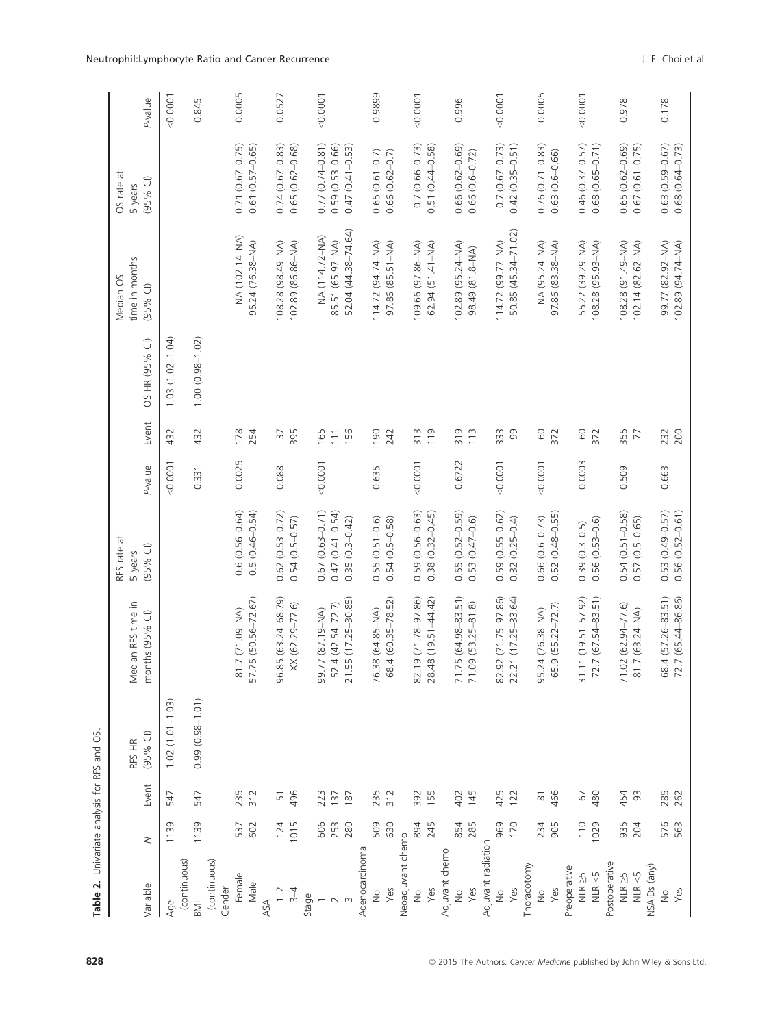| Table 2. Univariate analysis for RFS and OS. |             |                     |                      |                                        |                                         |         |                   |                     |                                           |                                            |         |
|----------------------------------------------|-------------|---------------------|----------------------|----------------------------------------|-----------------------------------------|---------|-------------------|---------------------|-------------------------------------------|--------------------------------------------|---------|
| Variable                                     | $\geq$      | Event               | $(95%$ CI)<br>RFS HR | Median RFS time in<br>months (95% CI)  | RFS rate at<br>$(95%$ CI)<br>5 years    | P-value | Event             | OS HR (95% CI)      | time in months<br>Median OS<br>$(95%$ CI) | Ħ<br>$(95%$ CI)<br>OS rate<br>5 years      | P-value |
| Age                                          | 1139        | 547                 | $1.02(1.01 - 1.03)$  |                                        |                                         | 0.0001  | 432               | $1.03(1.02 - 1.04)$ |                                           |                                            | 0.0001  |
| (continuous)<br>BM                           | 1139        | 547                 | $0.99(0.98 - 1.01)$  |                                        |                                         | 0.331   | 432               | $1.00(0.98 - 1.02)$ |                                           |                                            | 0.845   |
| (continuous)<br>Gender                       |             |                     |                      |                                        |                                         |         |                   |                     |                                           |                                            |         |
| Female                                       | 537         | 235                 |                      | 81.7 (71.09-NA)                        | $0.6(0.56 - 0.64)$                      | 0.0025  | 178               |                     | NA (102.14-NA)                            | $0.71(0.67 - 0.75)$                        | 0.0005  |
| Male                                         | 602         | 312                 |                      | 57.75 (50.56-72.67)                    | $0.5(0.46-0.54)$                        |         | 254               |                     | 95.24 (76.38-NA)                          | $0.61(0.57 - 0.65)$                        |         |
| ASA                                          |             |                     |                      |                                        |                                         |         |                   |                     |                                           |                                            |         |
| $1 - 2$<br>$\overline{3}$                    | 124<br>1015 | 496<br>51           |                      | 96.85 (63.24-68.79)<br>XX (62.29-77.6) | $0.62(0.53 - 0.72)$<br>$0.54(0.5-0.57)$ | 0.088   | 395<br>$\sqrt{5}$ |                     | 108.28 (98.49-NA)<br>102.89 (86.86-NA)    | $0.74(0.67 - 0.83)$<br>$0.65(0.62 - 0.68)$ | 0.0527  |
| Stage                                        |             |                     |                      |                                        |                                         |         |                   |                     |                                           |                                            |         |
|                                              | 606         | 223                 |                      | (AM-61.18) 77.99                       | $(0.63 - 0.71)$<br>0.67                 | 0.0001  | 165               |                     | NA (114.72-NA)                            | $0.77(0.74 - 0.81)$                        | 0.0001  |
| $\sim$                                       | 253         | 137                 |                      | 52.4 (42.54-72.7)                      | $0.47(0.41 - 0.54)$                     |         | 111               |                     | 85.51 (65.97-NA)                          | $0.59(0.53 - 0.66)$                        |         |
|                                              | 280         | 187                 |                      | 21.55 (17.25-30.85)                    | $(0.3 - 0.42)$<br>0.35                  |         | 156               |                     | 52.04 (44.38-74.64)                       | $0.47(0.41 - 0.53)$                        |         |
| Adenocarcinoma                               |             |                     |                      |                                        |                                         |         |                   |                     |                                           |                                            |         |
| $\frac{1}{2}$                                | 509         | 235                 |                      | 76.38 (64.85-NA)                       | $0.55(0.51 - 0.6)$                      | 0.635   | 190               |                     | 114.72 (94.74-NA)                         | $0.65(0.61 - 0.7)$                         | 0.9899  |
| Yes                                          | 630         | 312                 |                      | 68.4 (60.35-78.52)                     | $0.54(0.5-0.58)$                        |         | 242               |                     | 97.86 (85.51-NA)                          | $0.66(0.62 - 0.7)$                         |         |
| Neoadjuvant chemo                            |             |                     |                      |                                        |                                         |         |                   |                     |                                           |                                            |         |
| $\frac{1}{2}$                                | 894         | 392                 |                      | 32.19 (71.78-97.86)                    | $(0.56 - 0.63)$<br>0.59                 | 0.0001  | 313               |                     | 109.66 (97.86-NA)                         | $0.7(0.66 - 0.73)$                         | 0.0001  |
| Yes                                          | 245         | 155                 |                      | 28.48 (19.51-44.42)                    | $0.38(0.32 - 0.45)$                     |         | 119               |                     | $62.94$ $(51.41 - NA)$                    | $0.51(0.44 - 0.58)$                        |         |
| Adjuvant chemo                               |             |                     |                      |                                        |                                         |         |                   |                     |                                           |                                            |         |
| $\frac{1}{2}$                                | 854         | 402                 |                      | 71.75 (64.98-83.51)                    | $0.55(0.52 - 0.59)$                     | 0.6722  | 319               |                     | 102.89 (95.24-NA)                         | $0.66(0.62 - 0.69)$                        | 0.996   |
| Yes                                          | 285         | 145                 |                      | 71.09 (53.25-81.8)                     | $(0.47 - 0.6)$<br>0.53                  |         | 113               |                     | 98.49 (81.8-NA)                           | $0.66(0.6 - 0.72)$                         |         |
| Adjuvant radiation                           |             |                     |                      |                                        |                                         |         |                   |                     |                                           |                                            |         |
| $\frac{1}{2}$                                | 969         | 425                 |                      | 32.92 (71.75-97.86)                    | $0.59(0.55 - 0.62)$                     | 0.0001  | 333               |                     | 114.72 (99.77-NA)                         | $0.7(0.67 - 0.73)$                         | 0.0001  |
| Yes                                          | 170         | 122                 |                      | 22.21 (17.25-33.64)                    | $0.32(0.25 - 0.4)$                      |         | 99                |                     | 50.85 (45.34-71.02)                       | $0.42(0.35 - 0.51)$                        |         |
| Thoracotomy                                  |             |                     |                      |                                        |                                         |         |                   |                     |                                           |                                            |         |
| $\frac{1}{2}$                                | 234         | $\overline{\infty}$ |                      | 95.24 (76.38-NA)                       | $0.66(0.6-0.73)$<br>$0.52(0.48-0.55)$   | 0.0001  | $60$              |                     | NA (95.24-NA)                             | $0.76(0.71 - 0.83)$                        | 0.0005  |
| Yes                                          | 905         | 466                 |                      | 65.9 (55.22-72.7)                      |                                         |         | 372               |                     | 97.86 (83.38-NA)                          | $0.63(0.6-0.66)$                           |         |
| Preoperative                                 |             |                     |                      |                                        |                                         |         |                   |                     |                                           |                                            |         |
| $NLR \geq 5$                                 | 110         | 67                  |                      | 31.11 (19.51-57.92)                    | $0.39(0.3-0.5)$                         | 0.0003  | GO                |                     | 55.22 (39.29-NA)                          | $0.46(0.37 - 0.57)$                        | 0.0001  |
| NLR <5                                       | 1029        | 480                 |                      | $72.7(67.54 - 83.51)$                  | $0.56(0.53 - 0.6)$                      |         | 372               |                     | 108.28 (95.93-NA)                         | $0.68(0.65 - 0.71)$                        |         |
| Postoperative                                |             |                     |                      |                                        |                                         |         |                   |                     |                                           |                                            |         |
| $NLR \geq 5$                                 | 935         | 454                 |                      | 71.02 (62.94-77.6)                     | $0.54(0.51 - 0.58)$                     | 0.509   | 355               |                     | 108.28 (91.49-NA)                         | $0.65(0.62 - 0.69)$                        | 0.978   |
| NLR $<$ 5                                    | 204         | $\Im$               |                      | 81.7 (63.24-NA)                        | $0.57(0.5-0.65)$                        |         | 77                |                     | 102.14 (82.62-NA)                         | $0.67(0.61 - 0.75)$                        |         |
| NSAIDs (any)                                 |             |                     |                      |                                        |                                         |         |                   |                     |                                           |                                            |         |
| $\frac{1}{2}$                                | 576         | 285                 |                      | 68.4 (57.26-83.51)                     | $0.53(0.49 - 0.57)$                     | 0.663   | 232               |                     | 99.77 (82.92-NA)                          | $0.63(0.59 - 0.67)$                        | 0.178   |
| Yes                                          | 563         | 262                 |                      | 72.7 (65.44-86.86)                     | $0.56(0.52 - 0.61)$                     |         | 200               |                     | 102.89 (94.74-NA)                         | $0.68(0.64 - 0.73)$                        |         |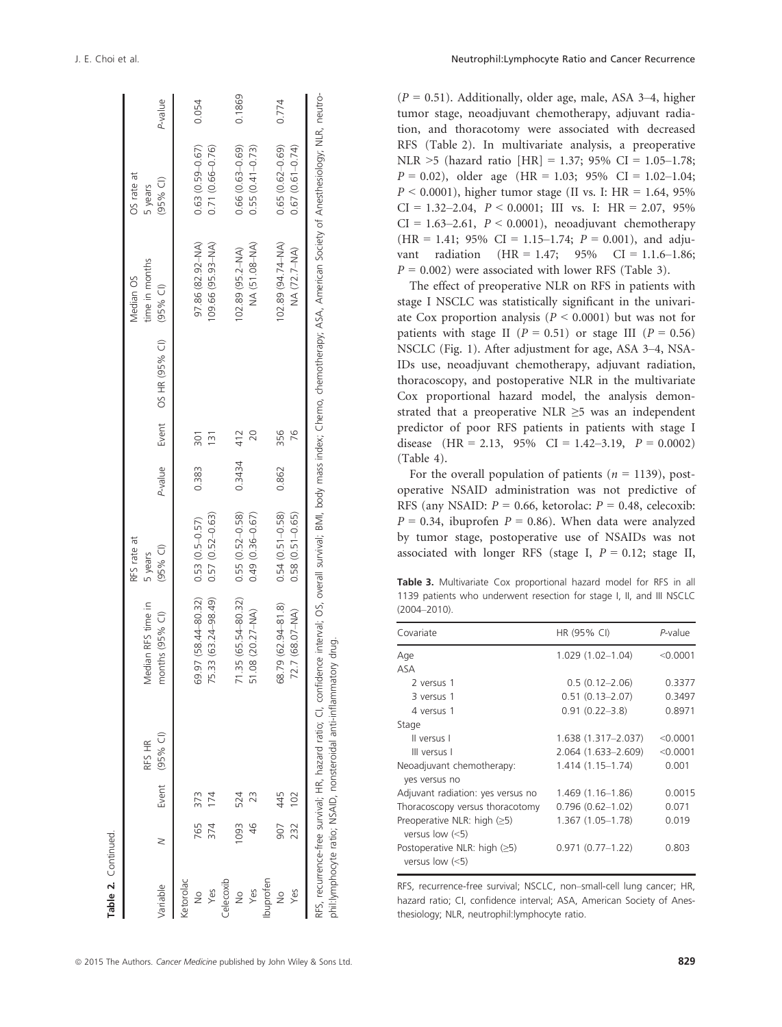| Variable                          |            |            | Event (95% CI)<br>RFS HR                                           | Median RFS time in<br>months (95% CI)                                                                                                                                                            | RFS rate at<br>$(95%$ CI)<br>5 years       | P-value |     | Event OS HR (95% CI) (95% CI) | time in months<br>Median OS           | OS rate at<br>(95% C)<br>5 years           | P-value |
|-----------------------------------|------------|------------|--------------------------------------------------------------------|--------------------------------------------------------------------------------------------------------------------------------------------------------------------------------------------------|--------------------------------------------|---------|-----|-------------------------------|---------------------------------------|--------------------------------------------|---------|
| Ketorolac<br>Yes<br>$\frac{6}{2}$ | 765<br>374 | 373<br>I74 |                                                                    | 69.97 (58.44-80.32)<br>75.33 (63.24-98.49)                                                                                                                                                       | $0.57(0.52 - 0.63)$<br>$0.53(0.5 - 0.57)$  | 0.383   | 301 |                               | 97.86 (82.92-NA)<br>109.66 (95.93-NA) | $0.63(0.59 - 0.67)$<br>$0.71(0.66 - 0.76)$ | 0.054   |
| Celecoxib<br>Yes<br>$\frac{1}{2}$ | 1093       | 524        |                                                                    | $.35(65.54 - 80.32)$<br>51.08 (20.27-NA)                                                                                                                                                         | $0.55(0.52 - 0.58)$<br>$0.49(0.36 - 0.67)$ | 0.3434  | 412 |                               | NA (51.08-NA)<br>102.89 (95.2-NA)     | $0.66(0.63 - 0.69)$<br>$0.55(0.41 - 0.73)$ | 0.1869  |
| buproten<br>Yes                   | 232<br>506 | 445<br>102 |                                                                    | 68.79 (62.94-81.8)<br>72.7 (68.07-NA)                                                                                                                                                            | $0.54(0.51 - 0.58)$<br>$0.58(0.51 - 0.65)$ | 0.862   | 356 |                               | 102.89 (94.74-NA)<br>NA (72.7-NA)     | $0.65(0.62 - 0.69)$<br>$0.67(0.61 - 0.74)$ | 0.774   |
|                                   |            |            | phil:lymphocyte ratio; NSAID, nonsteroidal anti-inflammatory drug. | RFS, recurrence-free survival; HR, hazard ratio; CI, confidence interval; OS, overall survival; BMI, body mass index; Chemo, chemotherapy; ASA, American Society of Anesthesiology; NLR, neutro- |                                            |         |     |                               |                                       |                                            |         |

| neoachavain chemomerapy, acquivain racia- |  |
|-------------------------------------------|--|
|-------------------------------------------|--|

tumor stage, neoadjuvant chemotherapy, adjuvant radiation, and thoracotomy were associated with decreased RFS (Table 2). In multivariate analysis, a preoperative NLR  $>5$  (hazard ratio [HR] = 1.37; 95% CI = 1.05–1.78;  $P = 0.02$ ), older age (HR = 1.03; 95% CI = 1.02-1.04;  $P < 0.0001$ ), higher tumor stage (II vs. I: HR = 1.64, 95%)  $CI = 1.32 - 2.04$ ,  $P < 0.0001$ ; III vs. I: HR = 2.07, 95%  $CI = 1.63-2.61$ ,  $P < 0.0001$ ), neoadjuvant chemotherapy  $(HR = 1.41; 95\% \text{ CI} = 1.15 - 1.74; P = 0.001)$ , and adjuvant radiation  $(HR = 1.47; 95\% \text{ CI} = 1.1.6-1.86;$  $P = 0.002$ ) were associated with lower RFS (Table 3).

 $(P = 0.51)$ . Additionally, older age, male, ASA 3-4, higher

The effect of preoperative NLR on RFS in patients with stage I NSCLC was statistically significant in the univariate Cox proportion analysis ( $P \le 0.0001$ ) but was not for patients with stage II ( $P = 0.51$ ) or stage III ( $P = 0.56$ ) NSCLC (Fig. 1). After adjustment for age, ASA 3–4, NSA-IDs use, neoadjuvant chemotherapy, adjuvant radiation, thoracoscopy, and postoperative NLR in the multivariate Cox proportional hazard model, the analysis demonstrated that a preoperative NLR  $\geq$ 5 was an independent predictor of poor RFS patients in patients with stage I disease  $(HR = 2.13, 95\% \text{ CI} = 1.42-3.19, P = 0.0002)$ (Table 4).

For the overall population of patients ( $n = 1139$ ), postoperative NSAID administration was not predictive of RFS (any NSAID:  $P = 0.66$ , ketorolac:  $P = 0.48$ , celecoxib:  $P = 0.34$ , ibuprofen  $P = 0.86$ ). When data were analyzed by tumor stage, postoperative use of NSAIDs was not associated with longer RFS (stage I,  $P = 0.12$ ; stage II,

Table 3. Multivariate Cox proportional hazard model for RFS in all 1139 patients who underwent resection for stage I, II, and III NSCLC (2004–2010).

| Covariate                                           | HR (95% CI)          | P-value    |
|-----------------------------------------------------|----------------------|------------|
| Age                                                 | $1.029(1.02 - 1.04)$ | $<$ 0.0001 |
| ASA                                                 |                      |            |
| 2 versus 1                                          | $0.5(0.12 - 2.06)$   | 0.3377     |
| 3 versus 1                                          | $0.51(0.13 - 2.07)$  | 0.3497     |
| 4 versus 1                                          | $0.91(0.22 - 3.8)$   | 0.8971     |
| Stage                                               |                      |            |
| Il versus I                                         | 1.638 (1.317-2.037)  | < 0.0001   |
| III versus I                                        | 2.064 (1.633-2.609)  | < 0.0001   |
| Neoadjuvant chemotherapy:                           | $1.414(1.15 - 1.74)$ | 0.001      |
| yes versus no                                       |                      |            |
| Adjuvant radiation: yes versus no                   | 1.469 (1.16–1.86)    | 0.0015     |
| Thoracoscopy versus thoracotomy                     | $0.796(0.62 - 1.02)$ | 0.071      |
| Preoperative NLR: high $(≥5)$<br>versus low $(<5)$  | 1.367 (1.05-1.78)    | 0.019      |
| Postoperative NLR: high $(≥5)$<br>versus low $(<5)$ | $0.971(0.77-1.22)$   | 0.803      |

RFS, recurrence-free survival; NSCLC, non–small-cell lung cancer; HR, hazard ratio; CI, confidence interval; ASA, American Society of Anesthesiology; NLR, neutrophil:lymphocyte ratio.

Table 2. Continued.

Table 2. Continued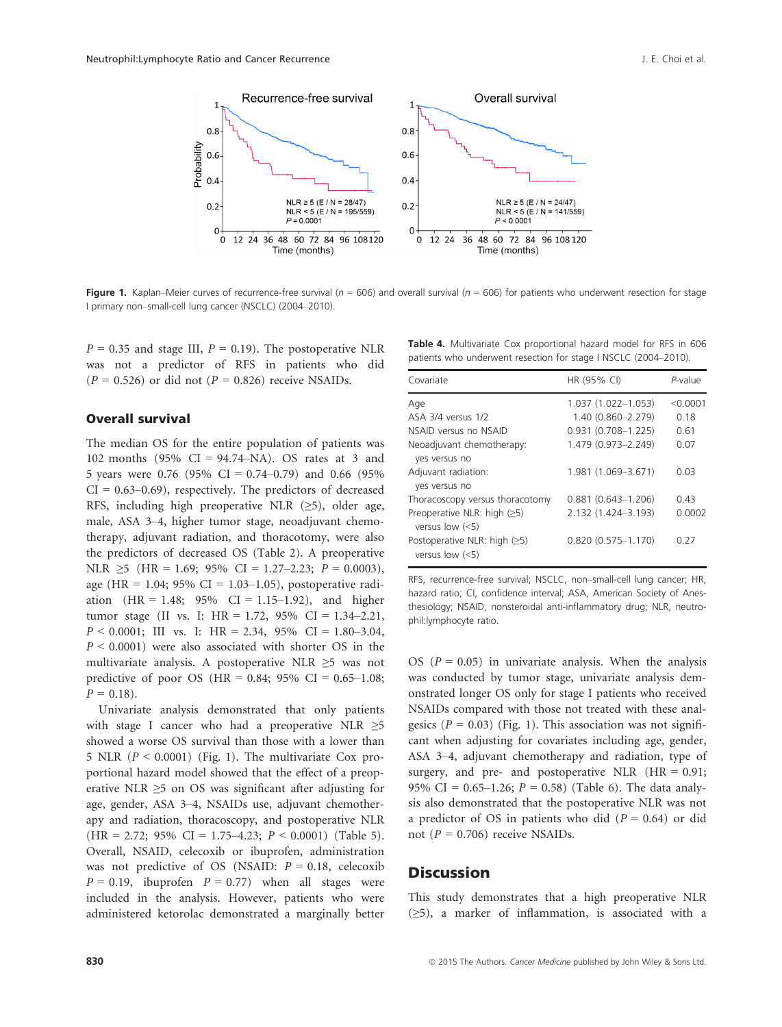

Figure 1. Kaplan–Meier curves of recurrence-free survival ( $n = 606$ ) and overall survival ( $n = 606$ ) for patients who underwent resection for stage I primary non–small-cell lung cancer (NSCLC) (2004–2010).

 $P = 0.35$  and stage III,  $P = 0.19$ ). The postoperative NLR was not a predictor of RFS in patients who did  $(P = 0.526)$  or did not  $(P = 0.826)$  receive NSAIDs.

### Overall survival

The median OS for the entire population of patients was 102 months (95% CI = 94.74–NA). OS rates at 3 and 5 years were 0.76 (95% CI = 0.74–0.79) and 0.66 (95%  $CI = 0.63-0.69$ , respectively. The predictors of decreased RFS, including high preoperative NLR  $(\geq 5)$ , older age, male, ASA 3–4, higher tumor stage, neoadjuvant chemotherapy, adjuvant radiation, and thoracotomy, were also the predictors of decreased OS (Table 2). A preoperative NLR  $\geq$ 5 (HR = 1.69; 95% CI = 1.27–2.23; P = 0.0003), age (HR = 1.04; 95% CI = 1.03–1.05), postoperative radiation  $(HR = 1.48; 95\% \text{ CI} = 1.15-1.92)$ , and higher tumor stage (II vs. I: HR = 1.72, 95% CI = 1.34–2.21,  $P < 0.0001$ ; III vs. I: HR = 2.34, 95% CI = 1.80-3.04,  $P \le 0.0001$ ) were also associated with shorter OS in the multivariate analysis. A postoperative NLR  $\geq$ 5 was not predictive of poor OS (HR =  $0.84$ ; 95% CI =  $0.65-1.08$ ;  $P = 0.18$ .

Univariate analysis demonstrated that only patients with stage I cancer who had a preoperative NLR ≥5 showed a worse OS survival than those with a lower than 5 NLR  $(P < 0.0001)$  (Fig. 1). The multivariate Cox proportional hazard model showed that the effect of a preoperative NLR  $\geq$ 5 on OS was significant after adjusting for age, gender, ASA 3–4, NSAIDs use, adjuvant chemotherapy and radiation, thoracoscopy, and postoperative NLR  $(HR = 2.72; 95\% \text{ CI} = 1.75-4.23; P < 0.0001)$  (Table 5). Overall, NSAID, celecoxib or ibuprofen, administration was not predictive of OS (NSAID:  $P = 0.18$ , celecoxib  $P = 0.19$ , ibuprofen  $P = 0.77$ ) when all stages were included in the analysis. However, patients who were administered ketorolac demonstrated a marginally better

| Table 4. Multivariate Cox proportional hazard model for RFS in 606 |  |  |  |  |
|--------------------------------------------------------------------|--|--|--|--|
| patients who underwent resection for stage I NSCLC (2004-2010).    |  |  |  |  |

| Covariate                                           | HR (95% CI)            | P-value  |
|-----------------------------------------------------|------------------------|----------|
| Age                                                 | $1.037(1.022 - 1.053)$ | < 0.0001 |
| ASA 3/4 versus 1/2                                  | 1.40 (0.860-2.279)     | 0.18     |
| NSAID versus no NSAID                               | $0.931(0.708 - 1.225)$ | 0.61     |
| Neoadjuvant chemotherapy:<br>yes versus no          | 1.479 (0.973-2.249)    | 0.07     |
| Adjuvant radiation:<br>yes versus no                | 1.981 (1.069-3.671)    | 0.03     |
| Thoracoscopy versus thoracotomy                     | $0.881$ (0.643-1.206)  | 0.43     |
| Preoperative NLR: high $(≥5)$<br>versus low $(<5)$  | 2.132 (1.424-3.193)    | 0.0002   |
| Postoperative NLR: high $(≥5)$<br>versus low $(<5)$ | $0.820(0.575 - 1.170)$ | 0.27     |

RFS, recurrence-free survival; NSCLC, non–small-cell lung cancer; HR, hazard ratio; CI, confidence interval; ASA, American Society of Anesthesiology; NSAID, nonsteroidal anti-inflammatory drug; NLR, neutrophil:lymphocyte ratio.

OS ( $P = 0.05$ ) in univariate analysis. When the analysis was conducted by tumor stage, univariate analysis demonstrated longer OS only for stage I patients who received NSAIDs compared with those not treated with these analgesics ( $P = 0.03$ ) (Fig. 1). This association was not significant when adjusting for covariates including age, gender, ASA 3–4, adjuvant chemotherapy and radiation, type of surgery, and pre- and postoperative NLR  $(HR = 0.91;$ 95% CI = 0.65–1.26;  $P = 0.58$ ) (Table 6). The data analysis also demonstrated that the postoperative NLR was not a predictor of OS in patients who did  $(P = 0.64)$  or did not ( $P = 0.706$ ) receive NSAIDs.

### **Discussion**

This study demonstrates that a high preoperative NLR (≥5), a marker of inflammation, is associated with a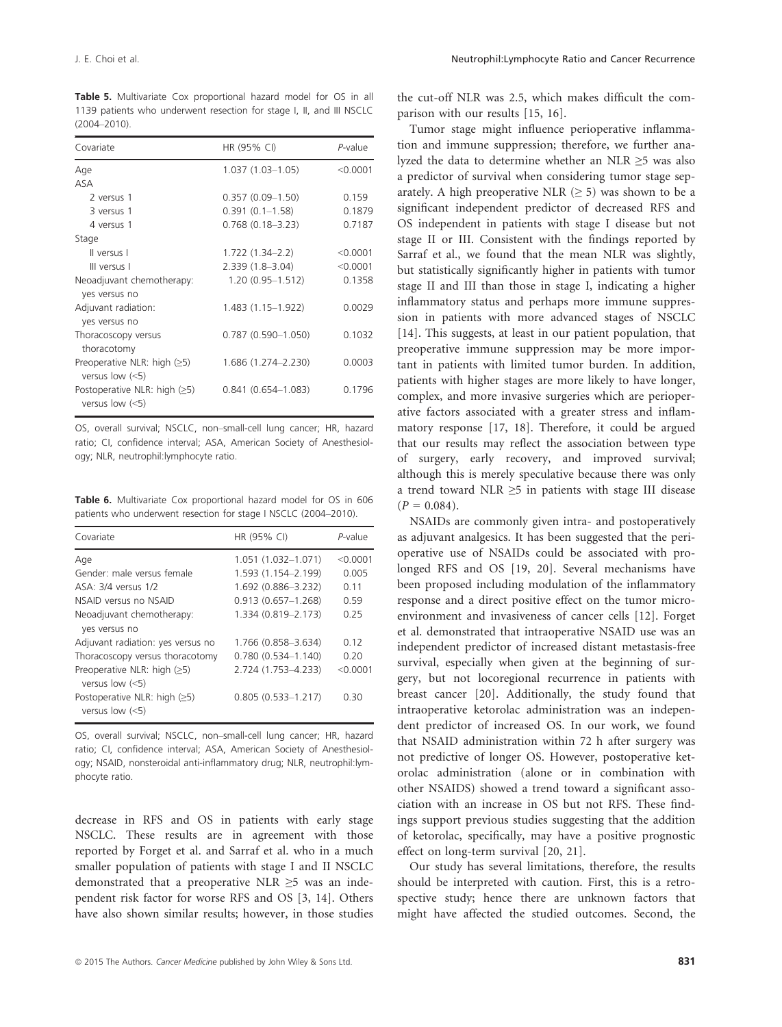Table 5. Multivariate Cox proportional hazard model for OS in all 1139 patients who underwent resection for stage I, II, and III NSCLC (2004–2010).

| Covariate                                           | HR (95% CI)               | P-value  |
|-----------------------------------------------------|---------------------------|----------|
| Age                                                 | $1.037(1.03-1.05)$        | < 0.0001 |
| <b>ASA</b>                                          |                           |          |
| 2 versus 1                                          | $0.357(0.09-1.50)$        | 0.159    |
| 3 versus 1                                          | $0.391(0.1-1.58)$         | 0.1879   |
| 4 versus 1                                          | $0.768(0.18 - 3.23)$      | 0.7187   |
| Stage                                               |                           |          |
| Il versus I                                         | $1.722(1.34 - 2.2)$       | < 0.0001 |
| III versus I                                        | $2.339(1.8 - 3.04)$       | < 0.0001 |
| Neoadjuvant chemotherapy:<br>yes versus no          | $1.20(0.95 - 1.512)$      | 0.1358   |
| Adjuvant radiation:<br>yes versus no                | 1.483 (1.15–1.922)        | 0.0029   |
| Thoracoscopy versus<br>thoracotomy                  | $0.787$ $(0.590 - 1.050)$ | 0.1032   |
| Preoperative NLR: high $(≥5)$<br>versus low $(<5)$  | 1.686 (1.274–2.230)       | 0.0003   |
| Postoperative NLR: high $(≥5)$<br>versus low $(<5)$ | $0.841(0.654 - 1.083)$    | 0.1796   |

OS, overall survival; NSCLC, non–small-cell lung cancer; HR, hazard ratio; CI, confidence interval; ASA, American Society of Anesthesiology; NLR, neutrophil:lymphocyte ratio.

Table 6. Multivariate Cox proportional hazard model for OS in 606 patients who underwent resection for stage I NSCLC (2004–2010).

| Covariate                                           | HR (95% CI)            | $P$ -value |
|-----------------------------------------------------|------------------------|------------|
| Age                                                 | 1.051 (1.032-1.071)    | $<$ 0.0001 |
| Gender: male versus female                          | 1.593 (1.154-2.199)    | 0.005      |
| ASA: 3/4 versus 1/2                                 | 1.692 (0.886-3.232)    | 0.11       |
| NSAID versus no NSAID                               | $0.913(0.657 - 1.268)$ | 0.59       |
| Neoadjuvant chemotherapy:<br>yes versus no          | 1.334 (0.819-2.173)    | 0.25       |
| Adjuvant radiation: yes versus no                   | 1.766 (0.858-3.634)    | 0.12       |
| Thoracoscopy versus thoracotomy                     | $0.780(0.534 - 1.140)$ | 0.20       |
| Preoperative NLR: high $(≥5)$<br>versus low $(<5)$  | 2.724 (1.753-4.233)    | < 0.0001   |
| Postoperative NLR: high $(≥5)$<br>versus low $(<5)$ | $0.805(0.533 - 1.217)$ | 0.30       |

OS, overall survival; NSCLC, non–small-cell lung cancer; HR, hazard ratio; CI, confidence interval; ASA, American Society of Anesthesiology; NSAID, nonsteroidal anti-inflammatory drug; NLR, neutrophil:lymphocyte ratio.

decrease in RFS and OS in patients with early stage NSCLC. These results are in agreement with those reported by Forget et al. and Sarraf et al. who in a much smaller population of patients with stage I and II NSCLC demonstrated that a preoperative NLR  $\geq$ 5 was an independent risk factor for worse RFS and OS [3, 14]. Others have also shown similar results; however, in those studies the cut-off NLR was 2.5, which makes difficult the comparison with our results [15, 16].

Tumor stage might influence perioperative inflammation and immune suppression; therefore, we further analyzed the data to determine whether an NLR ≥5 was also a predictor of survival when considering tumor stage separately. A high preoperative NLR  $(≥ 5)$  was shown to be a significant independent predictor of decreased RFS and OS independent in patients with stage I disease but not stage II or III. Consistent with the findings reported by Sarraf et al., we found that the mean NLR was slightly, but statistically significantly higher in patients with tumor stage II and III than those in stage I, indicating a higher inflammatory status and perhaps more immune suppression in patients with more advanced stages of NSCLC [14]. This suggests, at least in our patient population, that preoperative immune suppression may be more important in patients with limited tumor burden. In addition, patients with higher stages are more likely to have longer, complex, and more invasive surgeries which are perioperative factors associated with a greater stress and inflammatory response [17, 18]. Therefore, it could be argued that our results may reflect the association between type of surgery, early recovery, and improved survival; although this is merely speculative because there was only a trend toward NLR ≥5 in patients with stage III disease  $(P = 0.084)$ .

NSAIDs are commonly given intra- and postoperatively as adjuvant analgesics. It has been suggested that the perioperative use of NSAIDs could be associated with prolonged RFS and OS [19, 20]. Several mechanisms have been proposed including modulation of the inflammatory response and a direct positive effect on the tumor microenvironment and invasiveness of cancer cells [12]. Forget et al. demonstrated that intraoperative NSAID use was an independent predictor of increased distant metastasis-free survival, especially when given at the beginning of surgery, but not locoregional recurrence in patients with breast cancer [20]. Additionally, the study found that intraoperative ketorolac administration was an independent predictor of increased OS. In our work, we found that NSAID administration within 72 h after surgery was not predictive of longer OS. However, postoperative ketorolac administration (alone or in combination with other NSAIDS) showed a trend toward a significant association with an increase in OS but not RFS. These findings support previous studies suggesting that the addition of ketorolac, specifically, may have a positive prognostic effect on long-term survival [20, 21].

Our study has several limitations, therefore, the results should be interpreted with caution. First, this is a retrospective study; hence there are unknown factors that might have affected the studied outcomes. Second, the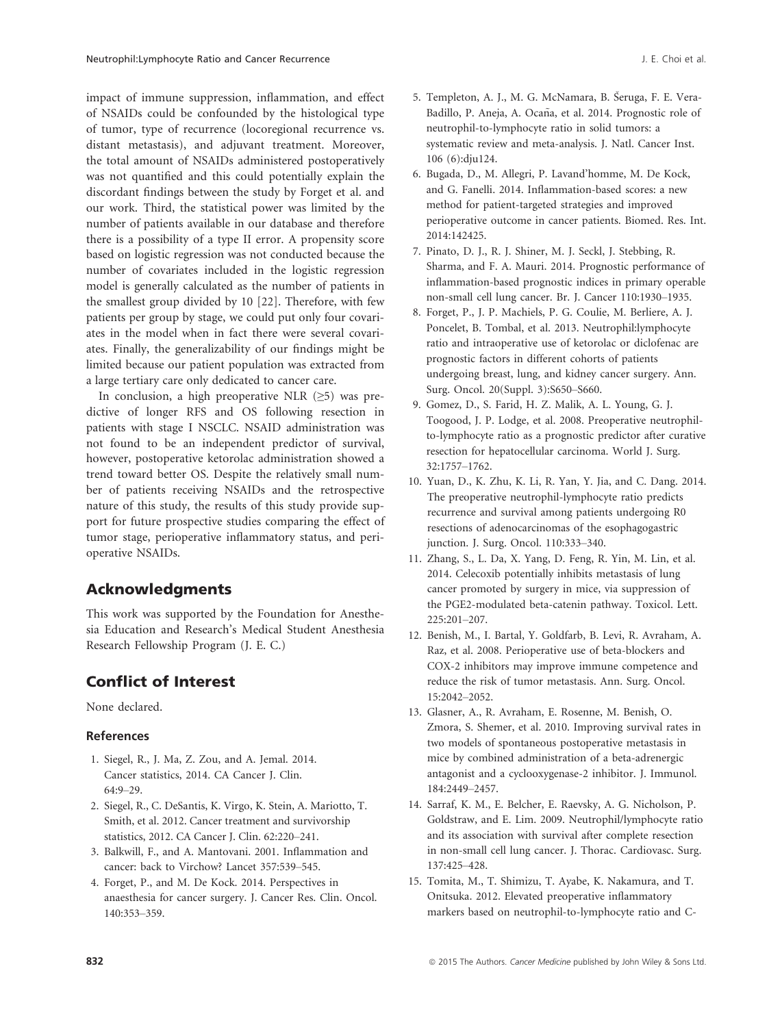impact of immune suppression, inflammation, and effect of NSAIDs could be confounded by the histological type of tumor, type of recurrence (locoregional recurrence vs. distant metastasis), and adjuvant treatment. Moreover, the total amount of NSAIDs administered postoperatively was not quantified and this could potentially explain the discordant findings between the study by Forget et al. and our work. Third, the statistical power was limited by the number of patients available in our database and therefore there is a possibility of a type II error. A propensity score based on logistic regression was not conducted because the number of covariates included in the logistic regression model is generally calculated as the number of patients in the smallest group divided by 10 [22]. Therefore, with few patients per group by stage, we could put only four covariates in the model when in fact there were several covariates. Finally, the generalizability of our findings might be limited because our patient population was extracted from a large tertiary care only dedicated to cancer care.

In conclusion, a high preoperative NLR  $(\geq 5)$  was predictive of longer RFS and OS following resection in patients with stage I NSCLC. NSAID administration was not found to be an independent predictor of survival, however, postoperative ketorolac administration showed a trend toward better OS. Despite the relatively small number of patients receiving NSAIDs and the retrospective nature of this study, the results of this study provide support for future prospective studies comparing the effect of tumor stage, perioperative inflammatory status, and perioperative NSAIDs.

# Acknowledgments

This work was supported by the Foundation for Anesthesia Education and Research's Medical Student Anesthesia Research Fellowship Program (J. E. C.)

# Conflict of Interest

None declared.

### References

- 1. Siegel, R., J. Ma, Z. Zou, and A. Jemal. 2014. Cancer statistics, 2014. CA Cancer J. Clin. 64:9–29.
- 2. Siegel, R., C. DeSantis, K. Virgo, K. Stein, A. Mariotto, T. Smith, et al. 2012. Cancer treatment and survivorship statistics, 2012. CA Cancer J. Clin. 62:220–241.
- 3. Balkwill, F., and A. Mantovani. 2001. Inflammation and cancer: back to Virchow? Lancet 357:539–545.
- 4. Forget, P., and M. De Kock. 2014. Perspectives in anaesthesia for cancer surgery. J. Cancer Res. Clin. Oncol. 140:353–359.
- 5. Templeton, A. J., M. G. McNamara, B. Seruga, F. E. Vera-Badillo, P. Aneja, A. Ocaña, et al. 2014. Prognostic role of neutrophil-to-lymphocyte ratio in solid tumors: a systematic review and meta-analysis. J. Natl. Cancer Inst. 106 (6):dju124.
- 6. Bugada, D., M. Allegri, P. Lavand'homme, M. De Kock, and G. Fanelli. 2014. Inflammation-based scores: a new method for patient-targeted strategies and improved perioperative outcome in cancer patients. Biomed. Res. Int. 2014:142425.
- 7. Pinato, D. J., R. J. Shiner, M. J. Seckl, J. Stebbing, R. Sharma, and F. A. Mauri. 2014. Prognostic performance of inflammation-based prognostic indices in primary operable non-small cell lung cancer. Br. J. Cancer 110:1930–1935.
- 8. Forget, P., J. P. Machiels, P. G. Coulie, M. Berliere, A. J. Poncelet, B. Tombal, et al. 2013. Neutrophil:lymphocyte ratio and intraoperative use of ketorolac or diclofenac are prognostic factors in different cohorts of patients undergoing breast, lung, and kidney cancer surgery. Ann. Surg. Oncol. 20(Suppl. 3):S650–S660.
- 9. Gomez, D., S. Farid, H. Z. Malik, A. L. Young, G. J. Toogood, J. P. Lodge, et al. 2008. Preoperative neutrophilto-lymphocyte ratio as a prognostic predictor after curative resection for hepatocellular carcinoma. World J. Surg. 32:1757–1762.
- 10. Yuan, D., K. Zhu, K. Li, R. Yan, Y. Jia, and C. Dang. 2014. The preoperative neutrophil-lymphocyte ratio predicts recurrence and survival among patients undergoing R0 resections of adenocarcinomas of the esophagogastric junction. J. Surg. Oncol. 110:333–340.
- 11. Zhang, S., L. Da, X. Yang, D. Feng, R. Yin, M. Lin, et al. 2014. Celecoxib potentially inhibits metastasis of lung cancer promoted by surgery in mice, via suppression of the PGE2-modulated beta-catenin pathway. Toxicol. Lett. 225:201–207.
- 12. Benish, M., I. Bartal, Y. Goldfarb, B. Levi, R. Avraham, A. Raz, et al. 2008. Perioperative use of beta-blockers and COX-2 inhibitors may improve immune competence and reduce the risk of tumor metastasis. Ann. Surg. Oncol. 15:2042–2052.
- 13. Glasner, A., R. Avraham, E. Rosenne, M. Benish, O. Zmora, S. Shemer, et al. 2010. Improving survival rates in two models of spontaneous postoperative metastasis in mice by combined administration of a beta-adrenergic antagonist and a cyclooxygenase-2 inhibitor. J. Immunol. 184:2449–2457.
- 14. Sarraf, K. M., E. Belcher, E. Raevsky, A. G. Nicholson, P. Goldstraw, and E. Lim. 2009. Neutrophil/lymphocyte ratio and its association with survival after complete resection in non-small cell lung cancer. J. Thorac. Cardiovasc. Surg. 137:425–428.
- 15. Tomita, M., T. Shimizu, T. Ayabe, K. Nakamura, and T. Onitsuka. 2012. Elevated preoperative inflammatory markers based on neutrophil-to-lymphocyte ratio and C-